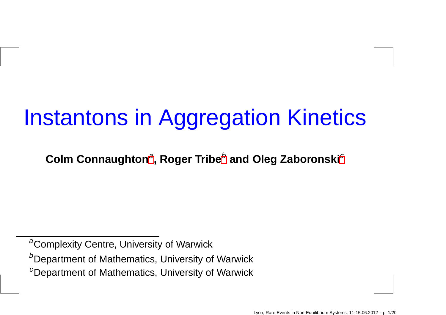# Instantons in Aggregation Kinetics

 $\boldsymbol{\mathsf{Colm}}$  $\boldsymbol{\mathsf{Colm}}$  $\boldsymbol{\mathsf{Colm}}$  Connaughton $^a$ , Roger Tri[b](#page-0-1)e $^b$  and Oleg Zaboronski $^c$  $^c$ 

<sup>&</sup>lt;sup>a</sup>Complexity Centre, University of Warwick

 $^b$ Department of Mathematics, University of Warwick

<span id="page-0-2"></span><span id="page-0-1"></span><span id="page-0-0"></span> $^c$ Department of Mathematics, University of Warwick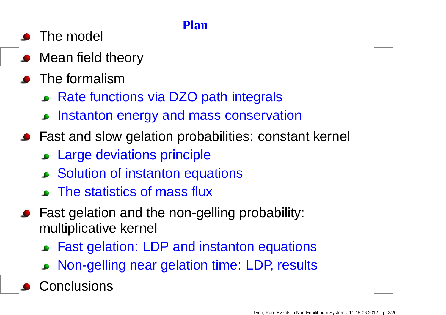### **Plan**

- The model
- Mean field theory
- **•** The formalism
	- Rate functions via DZO path integrals
	- **Instanton energy and mass conservation**
- Fast and slow gelation probabilities: constant kernel
	- Large deviations principle
	- Solution of instanton equations
	- The statistics of mass flux
- Fast gelation and the non-gelling probability: multiplicative kernel
	- Fast gelation: LDP and instanton equations
	- Non-gelling near gelation time: LDP, results
	- Conclusions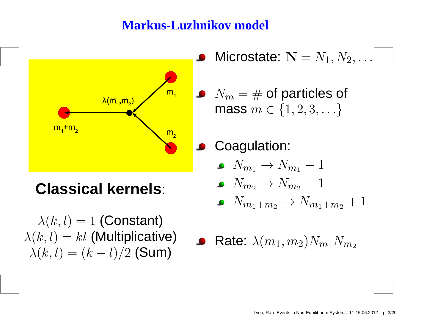### **Markus-Luzhnikov model**



**Classical kernels**:

 $\lambda(k,l)=1$  (Constant)  $\lambda(k,l) = kl$  (Multiplicative)  $\lambda(k,l)=(k+l)/2$  (Sum)

Microstate:  $\mathbf{N}=N_1, N_2, \ldots$ 

 $N_m = \#$  of particles of mass  $m \in \{1, 2, 3, \ldots\}$ 

Coagulation:

 $N_{m_1}\rightarrow N_{m_1}-1$ 

$$
\bullet\ \ N_{m_2}\rightarrow N_{m_2}-1
$$

$$
\bullet \quad N_{m_1+m_2} \rightarrow N_{m_1+m_2}+1
$$

• Rate: 
$$
\lambda(m_1, m_2)N_{m_1}N_{m_2}
$$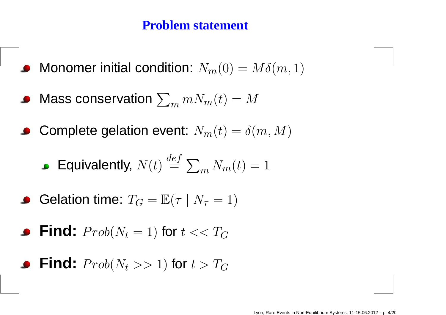### **Problem statement**

- Monomer initial condition:  $N_m(0) = M\delta(m,1)$
- Mass conservation  $\sum_m m N_m(t) = M$
- Complete gelation event:  $N_m(t) = \delta(m,M)$

**Equivalently,** 
$$
N(t) \stackrel{def}{=} \sum_m N_m(t) = 1
$$

• **Gelation time:** 
$$
T_G = \mathbb{E}(\tau \mid N_\tau = 1)
$$

• Find: 
$$
Prob(N_t = 1)
$$
 for  $t \ll T_G$ 

• Find: 
$$
Prob(N_t >> 1)
$$
 for  $t > T_G$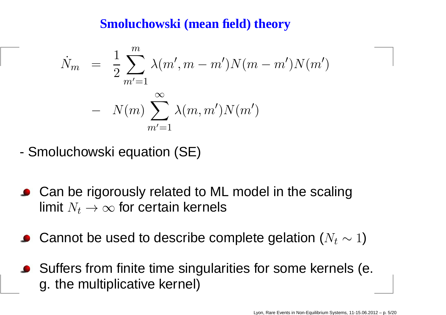### **Smoluchowski (mean field) theory**

$$
\dot{N}_m = \frac{1}{2} \sum_{m'=1}^m \lambda(m', m - m') N(m - m') N(m')
$$
  
-  $N(m) \sum_{m'=1}^\infty \lambda(m, m') N(m')$ 

- -Smoluchowski equation (SE)
- Can be rigorously related to ML model in the scalinglimit  $N_t\to\infty$  for certain kernels
- Cannot be used to describe complete gelation ( $N_t\sim1)$
- Suffers from finite time singularities for some kernels (e. g. the multiplicative kernel)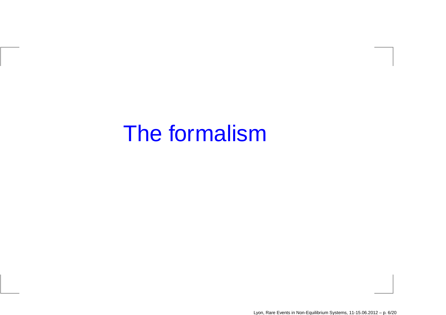## The formalism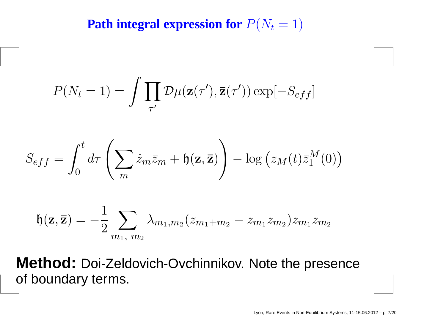**Path integral expression for**  $P(N_t = 1)$ 

$$
P(N_t = 1) = \int \prod_{\tau'} \mathcal{D}\mu(\mathbf{z}(\tau'), \mathbf{\bar{z}}(\tau')) \exp[-S_{eff}]
$$

$$
S_{eff} = \int_0^t d\tau \left( \sum_m \dot{z}_m \overline{z}_m + \mathfrak{h}(\mathbf{z}, \overline{\mathbf{z}}) \right) - \log (z_M(t) \overline{z}_1^M(0))
$$

$$
\mathfrak{h}(\mathbf{z},\overline{\mathbf{z}})=-\frac{1}{2}\sum_{m_1,\ m_2}\lambda_{m_1,m_2}(\bar{z}_{m_1+m_2}-\bar{z}_{m_1}\bar{z}_{m_2})z_{m_1}z_{m_2}
$$

**Method:** Doi-Zeldovich-Ovchinnikov. Note the presenceof boundary terms.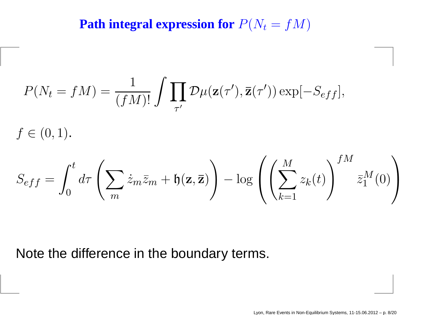**Path integral expression for**  $P(N_t=$  $f(M)$ 

$$
P(N_t = fM) = \frac{1}{(fM)!} \int \prod_{\tau'} \mathcal{D}\mu(\mathbf{z}(\tau'), \mathbf{\bar{z}}(\tau')) \exp[-S_{eff}],
$$

 $f\in(0,1)$ .

$$
S_{eff} = \int_0^t d\tau \left( \sum_m \dot{z}_m \bar{z}_m + \mathfrak{h}(\mathbf{z}, \overline{\mathbf{z}}) \right) - \log \left( \left( \sum_{k=1}^M z_k(t) \right)^{fM} \bar{z}_1^M(0) \right)
$$

Note the difference in the boundary terms.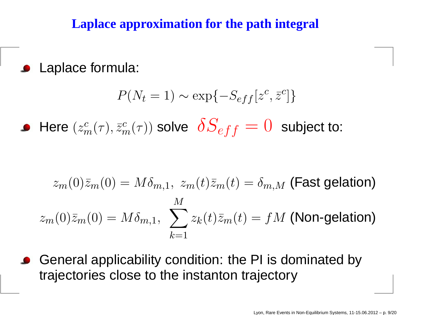### **Laplace approximation for the path integral**

**Laplace formula:** 

$$
P(N_t = 1) \sim \exp\{-S_{eff}[z^c, \bar{z}^c]\}
$$

Here (  $z^c_{\mathrm{m}}$  $\frac{c}{m} \big($  $\tau), \bar{z}_\eta^c$  $\frac{c}{m} \big($  $(\tau)$ ) solve  $\;\delta S_{eff}=0\;$  subject to:

$$
z_m(0)\bar{z}_m(0) = M\delta_{m,1}, \ z_m(t)\bar{z}_m(t) = \delta_{m,M}
$$
 (Fast gelation)  

$$
z_m(0)\bar{z}_m(0) = M\delta_{m,1}, \ \sum_{k=1}^M z_k(t)\bar{z}_m(t) = fM
$$
 (Non-gelation)

General applicability condition: the PI is dominated bytrajectories close to the instanton trajectory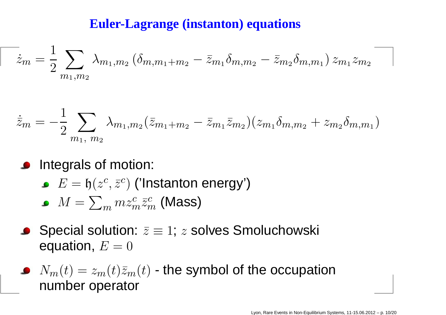### **Euler-Lagrange (instanton) equations**

$$
\overline{\dot{z}}_m = \frac{1}{2} \sum_{m_1,m_2} \lambda_{m_1,m_2} \left( \delta_{m,m_1+m_2} - \bar{z}_{m_1} \delta_{m,m_2} - \bar{z}_{m_2} \delta_{m,m_1} \right) z_{m_1} z_{m_2}
$$

$$
\dot{\bar{z}}_m = -\frac{1}{2} \sum_{m_1, m_2} \lambda_{m_1, m_2} (\bar{z}_{m_1 + m_2} - \bar{z}_{m_1} \bar{z}_{m_2}) (z_{m_1} \delta_{m, m_2} + z_{m_2} \delta_{m, m_1})
$$

- **Integrals of motion:** 
	- $E=\,$  $\mathfrak{h}(z^c$  $^c,\bar{z}^c$  $^c)$  ('Instanton energy')

$$
\bullet \ \ M = \sum_m m z_m^c \bar{z}_m^c \ \text{(Mass)}
$$

- Special solution:  $\bar z\equiv 1;\,z$  solves Smoluchowski equation,  $E=0^\circ$
- $N_m(t)=z_m(t)\bar{z}_m(t)$  the symbol of the occupation  $\mathbf{r}$ number operator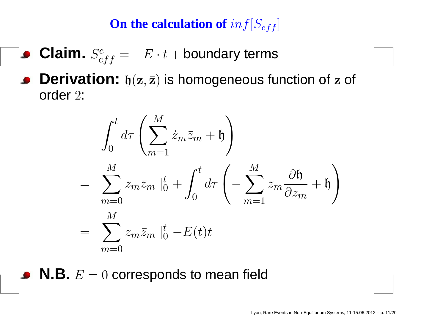## ${\bf On}$  the calculation of  $inf[S_{eff}]$

- **Claim.**  $S_{eff}^{c} = -E \cdot t +$  boundary terms
- **Derivation:**  $\mathfrak{h}(\mathbf{z},\bar{\mathbf{z}})$  is homogeneous function of  $\mathbf{z}$  of order <sup>2</sup>:

$$
\int_0^t d\tau \left( \sum_{m=1}^M \dot{z}_m \overline{z}_m + \mathfrak{h} \right)
$$
\n
$$
= \sum_{m=0}^M z_m \overline{z}_m \left|_0^t + \int_0^t d\tau \left( - \sum_{m=1}^M z_m \frac{\partial \mathfrak{h}}{\partial z_m} + \mathfrak{h} \right) \right|
$$
\n
$$
= \sum_{m=0}^M z_m \overline{z}_m \left|_0^t - E(t)t \right|
$$

 $\boldsymbol{\mathsf{N}}.\boldsymbol{\mathsf{B}}.\ E=0$  corresponds to mean field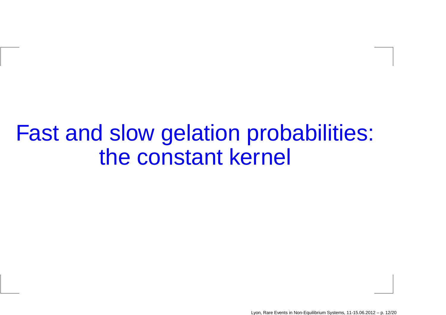Fast and slow gelation probabilities: the constant kernel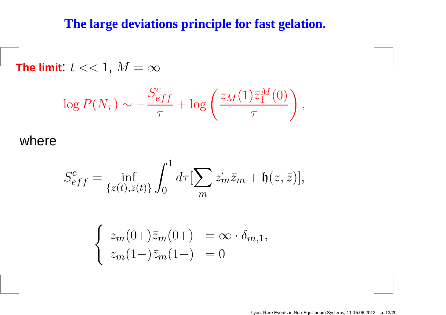### **The large deviations principle for fast gelation.**

**The limit:**  $t << 1, M = \infty$ 

$$
\log P(N_{\tau}) \sim -\frac{S_{eff}^{c}}{\tau} + \log \left( \frac{z_M(1)\bar{z}_1^M(0)}{\tau} \right),
$$

where

$$
S_{eff}^c = \inf_{\{z(t),\bar{z}(t)\}} \int_0^1 d\tau \left[\sum_m \dot{z_m}\bar{z}_m + \mathfrak{h}(z,\bar{z})\right],
$$

$$
\begin{cases}\n z_m(0+) \overline{z}_m(0+) = \infty \cdot \delta_{m,1}, \\
z_m(1-) \overline{z}_m(1-) = 0\n\end{cases}
$$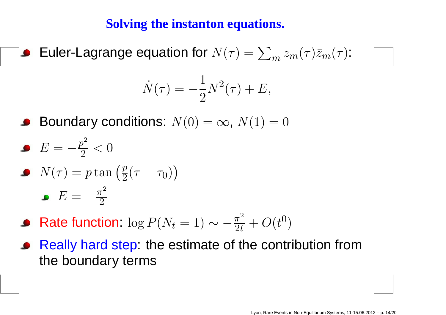### **Solving the instanton equations.**

Euler-Lagrange equation for  $N(\tau)=\sum_m z_m(\tau)\bar{z}_m(\tau)$ :

$$
\dot{N}(\tau) = -\frac{1}{2}N^2(\tau) + E,
$$

- Boundary conditions:  $N(0) = \infty$ ,  $N(1) = 0$
- $E=-\frac{p}{\epsilon}$ 2 $\frac{1}{2}<0$
- $N(\tau) = p\tan\left(\frac{p}{2}(\tau-\tau_0)\right)$  $E=-\frac{\pi}{\epsilon}$ 2.<br>2
- Rate function:  $\log P(N_t=1) \sim -\frac{\pi}{2}$ 2 $\frac{\pi^2}{2t}+O(t^0$  $\left( 0\right)$
- Really hard step: the estimate of the contribution fromthe boundary terms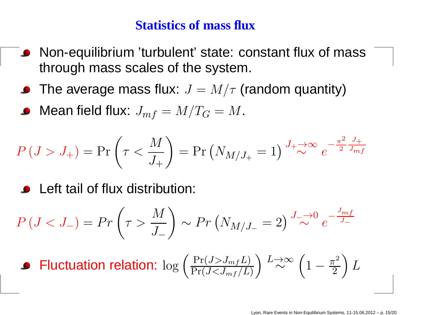#### **Statistics of mass flux**

- Non-equilibrium 'turbulent' state: constant flux of mass $\bullet$ through mass scales of the system.
- The average mass flux:  $J=M/\tau$  (random quantity)
- Mean field flux:  $J_{mf} = M/T_G = M$ .

$$
P(J > J_{+}) = \Pr\left(\tau < \frac{M}{J_{+}}\right) = \Pr\left(N_{M/J_{+}} = 1\right) \xrightarrow{J_{+} \to \infty} e^{-\frac{\pi^{2}}{2} \frac{J_{+}}{J_{mf}}}
$$

**•** Left tail of flux distribution:

$$
P(J < J_{-}) = Pr\left(\tau > \frac{M}{J_{-}}\right) \sim Pr\left(N_{M/J_{-}} = 2\right) \stackrel{J_{-} \to 0}{\sim} e^{-\frac{J_{mf}}{J_{-}}}
$$

■ **Fluctuation relation:** 
$$
\log \left( \frac{\Pr(J > J_{mf}L)}{\Pr(J < J_{mf}/L)} \right) \stackrel{L \to \infty}{\sim} \left( 1 - \frac{\pi^2}{2} \right) L
$$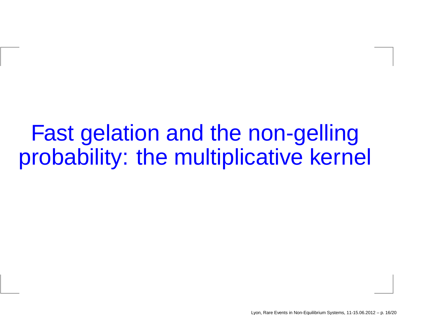## Fast gelation and the non-gellingprobability: the multiplicative kernel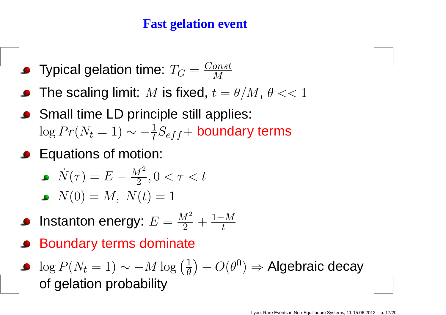### **Fast gelation event**

- Typical gelation time:  $T_G = \frac{Const}{M}$
- The scaling limit:  $M$  is fixed,  $t=\theta/M$ ,  $\theta << 1$
- Small time LD principle still applies:  $\log Pr(N_t=1) \sim -\frac{1}{t} S_{eff} +$  boundary terms
- **C** Equations of motion:

$$
\bullet \quad \dot{N}(\tau) = E - \frac{M^2}{2}, 0 < \tau < t
$$

$$
\bullet \ \ N(0) = M, \ N(t) = 1
$$

- Instanton energy:  $E$  $E = \frac{M^2}{2} + \frac{1-M}{t}$
- Boundary terms dominate

\n- $$
\log P(N_t = 1) \sim -M \log \left( \frac{1}{\theta} \right) + O(\theta^0) \Rightarrow
$$
 Algebraic decay of gelation probability
\n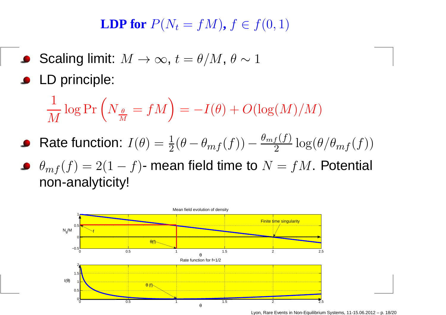**LDP** for  $P(N_t = fM)$ ,  $f \in f(0, 1)$ 

- Scaling limit:  $M \to \infty$ ,  $t = \theta/M$ ,  $\theta \sim 1$
- **C** LD principle:

1 $\overline{M}$  $\frac{1}{M} \log \Pr \left( N_{\frac{\theta}{M}} = fM \right) = -I(\theta) + O(\log(M)/M)$ 

- Rate function:  $I(\theta) = \frac{1}{2}(\theta \theta_{mf}(f)) \frac{\theta_{mf}(f)}{2} \log(\theta/\theta_{mf}(f))$
- $\theta_{mf}(f)=2(1-f)$  mean field time to  $N=fM$ . Potential non-analyticity!



Lyon, Rare Events in Non-Equilibrium Systems, 11-15.06.2012 – p. 18/20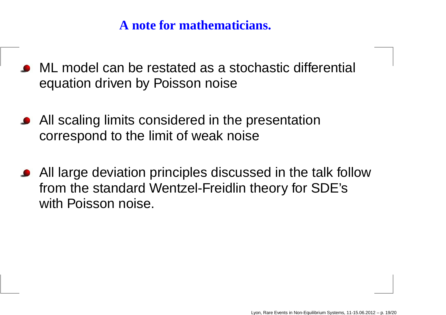### **A note for mathematicians.**

- ML model can be restated as <sup>a</sup> stochastic differential equation driven by Poisson noise
- All scaling limits considered in the presentation correspond to the limit of weak noise
- All large deviation principles discussed in the talk followfrom the standard Wentzel-Freidlin theory for SDE'swith Poisson noise.